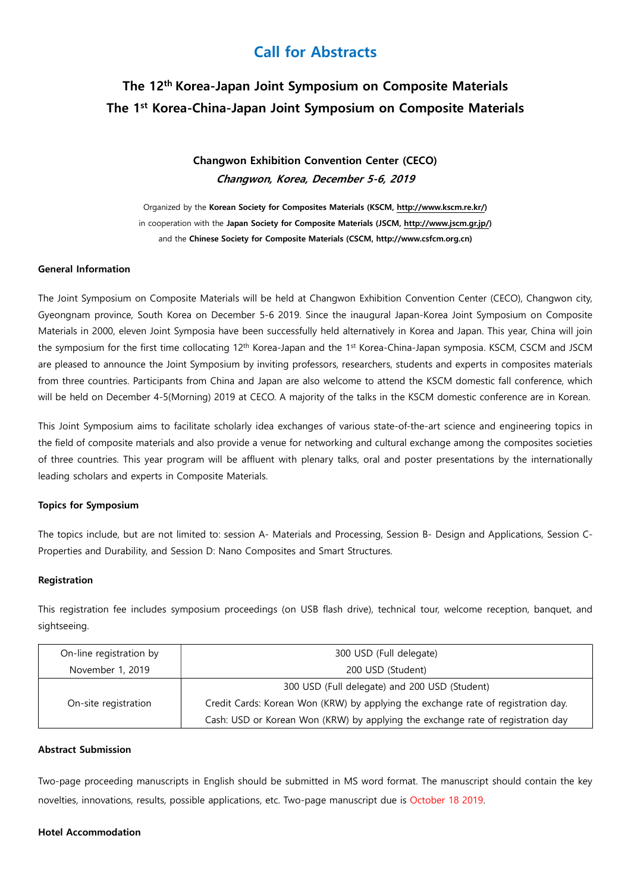# Call for Abstracts

# The 12th Korea-Japan Joint Symposium on Composite Materials The 1st Korea-China-Japan Joint Symposium on Composite Materials

Changwon Exhibition Convention Center (CECO) Changwon, Korea, December 5-6, 2019

Organized by the Korean Society for Composites Materials (KSCM, http://www.kscm.re.kr/) in cooperation with the Japan Society for Composite Materials (JSCM, http://www.jscm.gr.jp/) and the Chinese Society for Composite Materials (CSCM, http://www.csfcm.org.cn)

# General Information

The Joint Symposium on Composite Materials will be held at Changwon Exhibition Convention Center (CECO), Changwon city, Gyeongnam province, South Korea on December 5-6 2019. Since the inaugural Japan-Korea Joint Symposium on Composite Materials in 2000, eleven Joint Symposia have been successfully held alternatively in Korea and Japan. This year, China will join the symposium for the first time collocating 12<sup>th</sup> Korea-Japan and the 1<sup>st</sup> Korea-China-Japan symposia. KSCM, CSCM and JSCM are pleased to announce the Joint Symposium by inviting professors, researchers, students and experts in composites materials from three countries. Participants from China and Japan are also welcome to attend the KSCM domestic fall conference, which will be held on December 4-5(Morning) 2019 at CECO. A majority of the talks in the KSCM domestic conference are in Korean.

This Joint Symposium aims to facilitate scholarly idea exchanges of various state-of-the-art science and engineering topics in the field of composite materials and also provide a venue for networking and cultural exchange among the composites societies of three countries. This year program will be affluent with plenary talks, oral and poster presentations by the internationally leading scholars and experts in Composite Materials.

# Topics for Symposium

The topics include, but are not limited to: session A- Materials and Processing, Session B- Design and Applications, Session C-Properties and Durability, and Session D: Nano Composites and Smart Structures.

# Registration

This registration fee includes symposium proceedings (on USB flash drive), technical tour, welcome reception, banquet, and sightseeing.

| On-line registration by | 300 USD (Full delegate)                                                           |  |
|-------------------------|-----------------------------------------------------------------------------------|--|
| November 1, 2019        | 200 USD (Student)                                                                 |  |
| On-site registration    | 300 USD (Full delegate) and 200 USD (Student)                                     |  |
|                         | Credit Cards: Korean Won (KRW) by applying the exchange rate of registration day. |  |
|                         | Cash: USD or Korean Won (KRW) by applying the exchange rate of registration day   |  |

# Abstract Submission

Two-page proceeding manuscripts in English should be submitted in MS word format. The manuscript should contain the key novelties, innovations, results, possible applications, etc. Two-page manuscript due is October 18 2019.

# Hotel Accommodation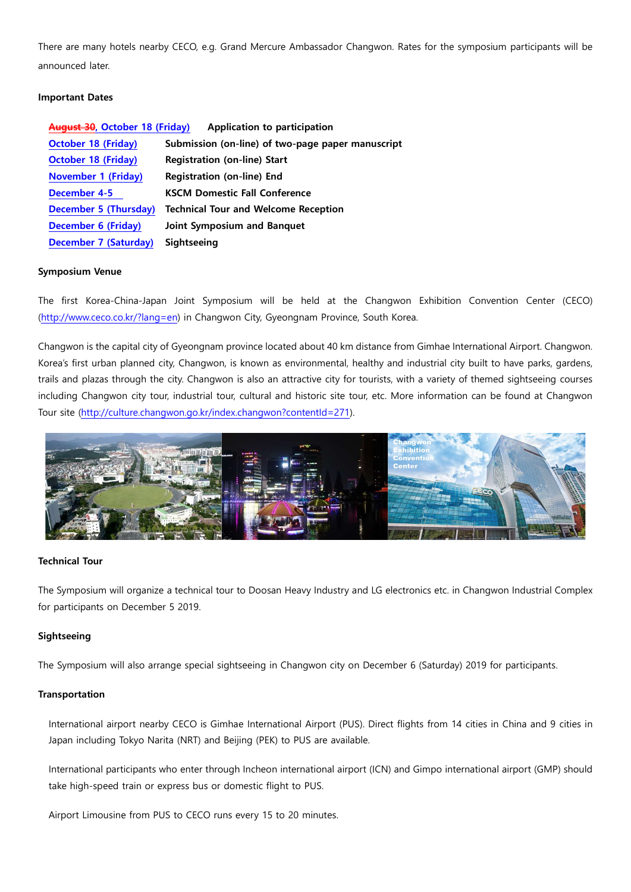There are many hotels nearby CECO, e.g. Grand Mercure Ambassador Changwon. Rates for the symposium participants will be announced later.

# Important Dates

| August 30, October 18 (Friday) | Application to participation                      |
|--------------------------------|---------------------------------------------------|
| <b>October 18 (Friday)</b>     | Submission (on-line) of two-page paper manuscript |
| <b>October 18 (Friday)</b>     | <b>Registration (on-line) Start</b>               |
| <b>November 1 (Friday)</b>     | <b>Registration (on-line) End</b>                 |
| December 4-5                   | <b>KSCM Domestic Fall Conference</b>              |
| December 5 (Thursday)          | <b>Technical Tour and Welcome Reception</b>       |
| <b>December 6 (Friday)</b>     | Joint Symposium and Banquet                       |
| December 7 (Saturday)          | Sightseeing                                       |

#### Symposium Venue

The first Korea-China-Japan Joint Symposium will be held at the Changwon Exhibition Convention Center (CECO) (http://www.ceco.co.kr/?lang=en) in Changwon City, Gyeongnam Province, South Korea.

Changwon is the capital city of Gyeongnam province located about 40 km distance from Gimhae International Airport. Changwon. Korea's first urban planned city, Changwon, is known as environmental, healthy and industrial city built to have parks, gardens, trails and plazas through the city. Changwon is also an attractive city for tourists, with a variety of themed sightseeing courses including Changwon city tour, industrial tour, cultural and historic site tour, etc. More information can be found at Changwon Tour site (http://culture.changwon.go.kr/index.changwon?contentId=271).



#### Technical Tour

The Symposium will organize a technical tour to Doosan Heavy Industry and LG electronics etc. in Changwon Industrial Complex for participants on December 5 2019.

# Siahtseeina

The Symposium will also arrange special sightseeing in Changwon city on December 6 (Saturday) 2019 for participants.

# Transportation

International airport nearby CECO is Gimhae International Airport (PUS). Direct flights from 14 cities in China and 9 cities in Japan including Tokyo Narita (NRT) and Beijing (PEK) to PUS are available.

International participants who enter through Incheon international airport (ICN) and Gimpo international airport (GMP) should take high-speed train or express bus or domestic flight to PUS.

Airport Limousine from PUS to CECO runs every 15 to 20 minutes.